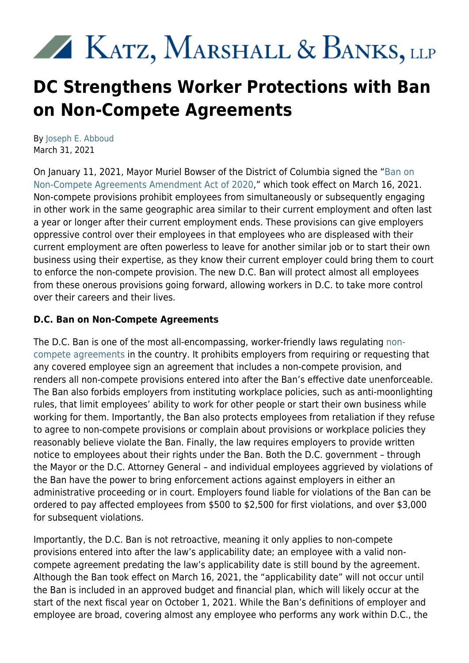# XX KATZ, MARSHALL & BANKS, LLP

## **DC Strengthens Worker Protections with Ban on Non-Compete Agreements**

By [Joseph E. Abboud](https://www.kmblegal.com/attorneys-and-staff/joseph-abboud) March 31, 2021

On January 11, 2021, Mayor Muriel Bowser of the District of Columbia signed the ["Ban on](https://lims.dccouncil.us/Legislation/B23-0494) [Non-Compete Agreements Amendment Act of 2020,](https://lims.dccouncil.us/Legislation/B23-0494)" which took effect on March 16, 2021. Non-compete provisions prohibit employees from simultaneously or subsequently engaging in other work in the same geographic area similar to their current employment and often last a year or longer after their current employment ends. These provisions can give employers oppressive control over their employees in that employees who are displeased with their current employment are often powerless to leave for another similar job or to start their own business using their expertise, as they know their current employer could bring them to court to enforce the non-compete provision. The new D.C. Ban will protect almost all employees from these onerous provisions going forward, allowing workers in D.C. to take more control over their careers and their lives.

### **D.C. Ban on Non-Compete Agreements**

The D.C. Ban is one of the most all-encompassing, worker-friendly laws regulating [non](https://www.kmblegal.com/resources/non-compete-agreements)[compete agreements](https://www.kmblegal.com/resources/non-compete-agreements) in the country. It prohibits employers from requiring or requesting that any covered employee sign an agreement that includes a non-compete provision, and renders all non-compete provisions entered into after the Ban's effective date unenforceable. The Ban also forbids employers from instituting workplace policies, such as anti-moonlighting rules, that limit employees' ability to work for other people or start their own business while working for them. Importantly, the Ban also protects employees from retaliation if they refuse to agree to non-compete provisions or complain about provisions or workplace policies they reasonably believe violate the Ban. Finally, the law requires employers to provide written notice to employees about their rights under the Ban. Both the D.C. government – through the Mayor or the D.C. Attorney General – and individual employees aggrieved by violations of the Ban have the power to bring enforcement actions against employers in either an administrative proceeding or in court. Employers found liable for violations of the Ban can be ordered to pay affected employees from \$500 to \$2,500 for first violations, and over \$3,000 for subsequent violations.

Importantly, the D.C. Ban is not retroactive, meaning it only applies to non-compete provisions entered into after the law's applicability date; an employee with a valid noncompete agreement predating the law's applicability date is still bound by the agreement. Although the Ban took effect on March 16, 2021, the "applicability date" will not occur until the Ban is included in an approved budget and financial plan, which will likely occur at the start of the next fiscal year on October 1, 2021. While the Ban's definitions of employer and employee are broad, covering almost any employee who performs any work within D.C., the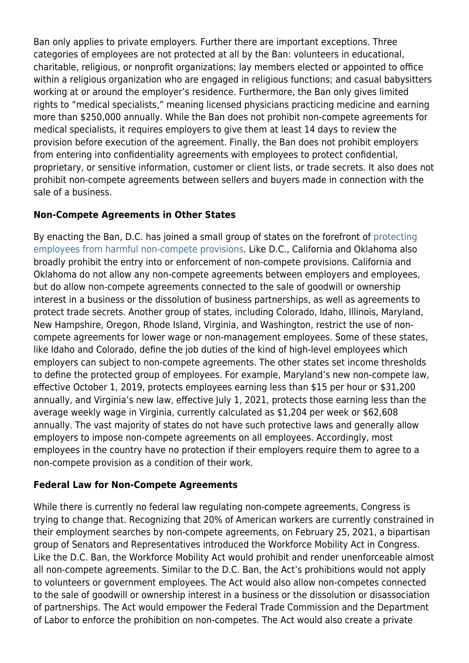Ban only applies to private employers. Further there are important exceptions. Three categories of employees are not protected at all by the Ban: volunteers in educational, charitable, religious, or nonprofit organizations; lay members elected or appointed to office within a religious organization who are engaged in religious functions; and casual babysitters working at or around the employer's residence. Furthermore, the Ban only gives limited rights to "medical specialists," meaning licensed physicians practicing medicine and earning more than \$250,000 annually. While the Ban does not prohibit non-compete agreements for medical specialists, it requires employers to give them at least 14 days to review the provision before execution of the agreement. Finally, the Ban does not prohibit employers from entering into confidentiality agreements with employees to protect confidential, proprietary, or sensitive information, customer or client lists, or trade secrets. It also does not prohibit non-compete agreements between sellers and buyers made in connection with the sale of a business.

#### **Non-Compete Agreements in Other States**

By enacting the Ban, D.C. has joined a small group of states on the forefront of [protecting](https://www.kmblegal.com/employment-law-blog/protecting-employees-against-unfair-non-compete-agreements) [employees from harmful non-compete provisions](https://www.kmblegal.com/employment-law-blog/protecting-employees-against-unfair-non-compete-agreements). Like D.C., California and Oklahoma also broadly prohibit the entry into or enforcement of non-compete provisions. California and Oklahoma do not allow any non-compete agreements between employers and employees, but do allow non-compete agreements connected to the sale of goodwill or ownership interest in a business or the dissolution of business partnerships, as well as agreements to protect trade secrets. Another group of states, including Colorado, Idaho, Illinois, Maryland, New Hampshire, Oregon, Rhode Island, Virginia, and Washington, restrict the use of noncompete agreements for lower wage or non-management employees. Some of these states, like Idaho and Colorado, define the job duties of the kind of high-level employees which employers can subject to non-compete agreements. The other states set income thresholds to define the protected group of employees. For example, Maryland's new non-compete law, effective October 1, 2019, protects employees earning less than \$15 per hour or \$31,200 annually, and Virginia's new law, effective July 1, 2021, protects those earning less than the average weekly wage in Virginia, currently calculated as \$1,204 per week or \$62,608 annually. The vast majority of states do not have such protective laws and generally allow employers to impose non-compete agreements on all employees. Accordingly, most employees in the country have no protection if their employers require them to agree to a non-compete provision as a condition of their work.

#### **Federal Law for Non-Compete Agreements**

While there is currently no federal law regulating non-compete agreements, Congress is trying to change that. Recognizing that 20% of American workers are currently constrained in their employment searches by non-compete agreements, on February 25, 2021, a bipartisan group of Senators and Representatives introduced the Workforce Mobility Act in Congress. Like the D.C. Ban, the Workforce Mobility Act would prohibit and render unenforceable almost all non-compete agreements. Similar to the D.C. Ban, the Act's prohibitions would not apply to volunteers or government employees. The Act would also allow non-competes connected to the sale of goodwill or ownership interest in a business or the dissolution or disassociation of partnerships. The Act would empower the Federal Trade Commission and the Department of Labor to enforce the prohibition on non-competes. The Act would also create a private